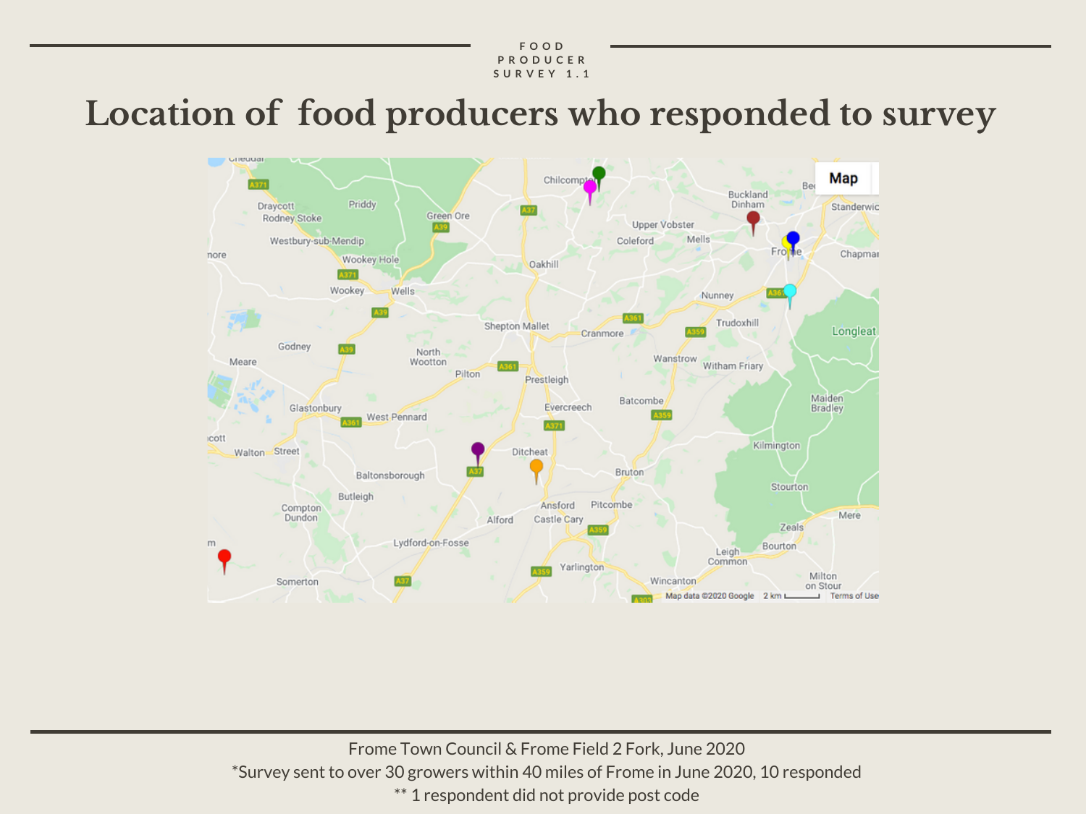# **Location of food producers who responded to survey**



Frome Town Council & Frome Field 2 Fork, June 2020 \*Survey sent to over 30 growers within 40 miles of Frome in June 2020, 10 responded \*\* 1 respondent did not provide post code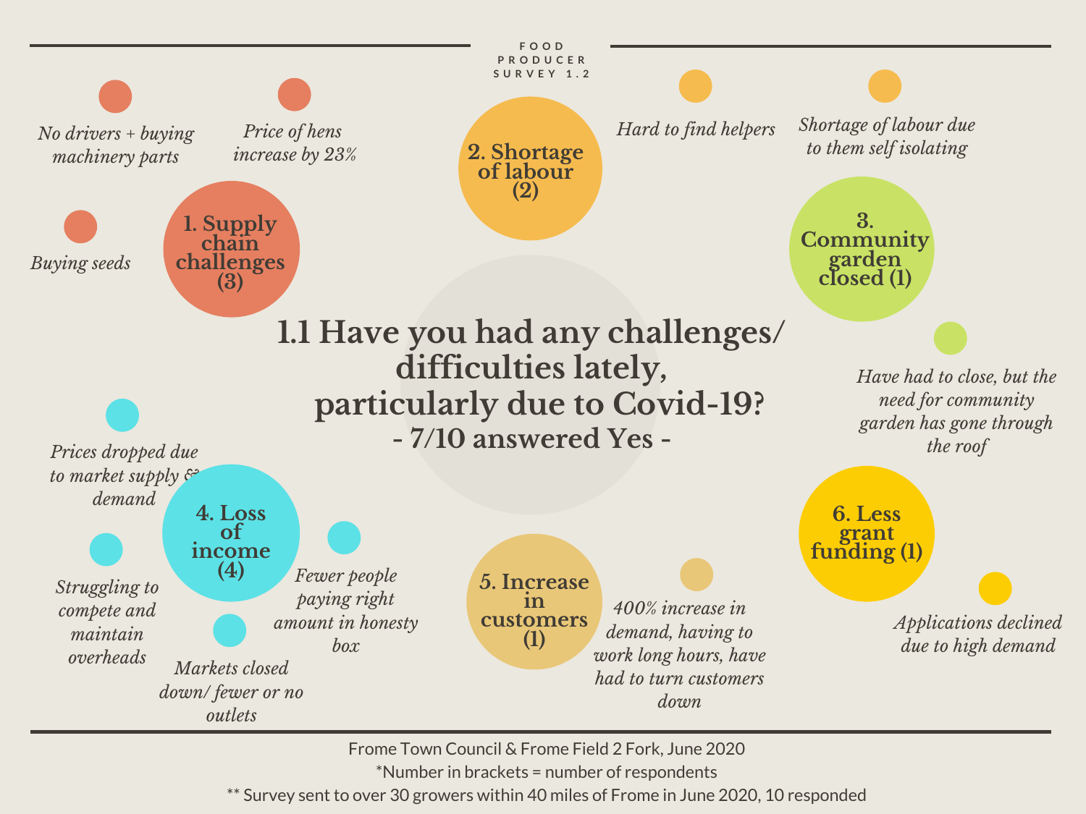

Frome Town Council & Frome Field 2 Fork, June 2020

\*Number in brackets = number of respondents

\*\* Survey sent to over 30 growers within 40 miles of Frome in June 2020, 10 responded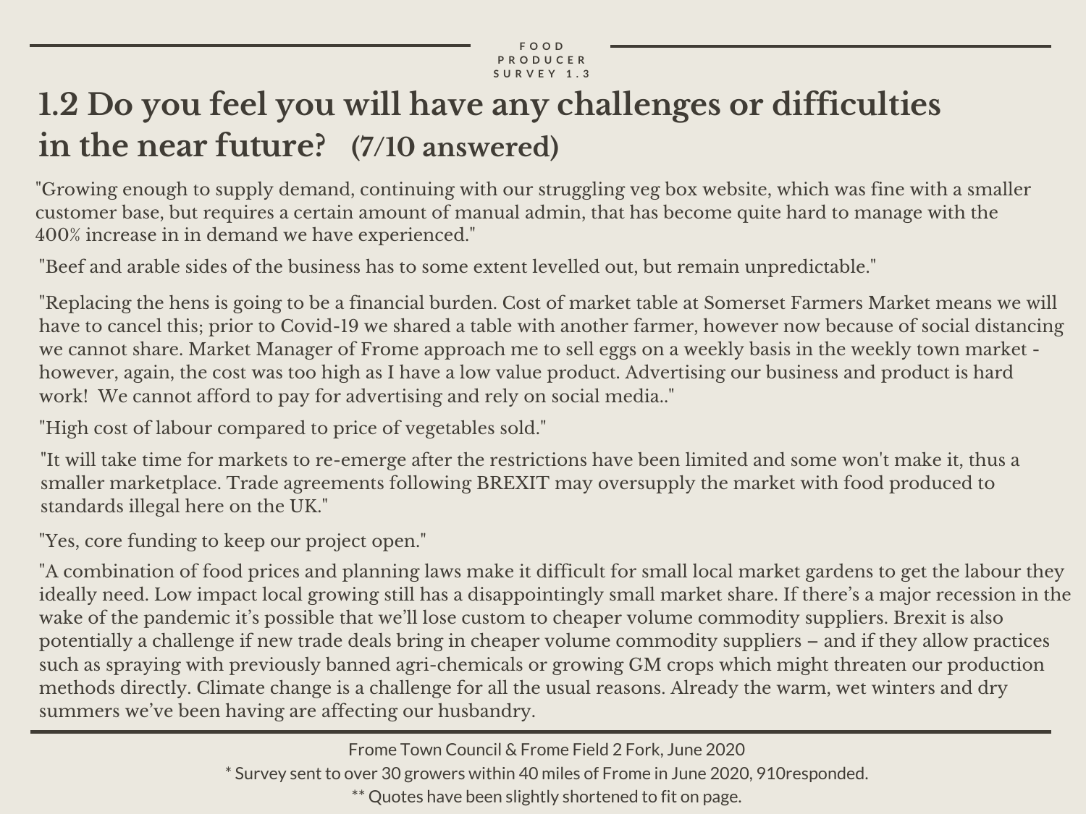# **1.2 Do you feel you will have any challenges or difficulties in the near future? (7/10 answered)**

 "Growing enough to supply demand, continuing with our struggling veg box website, which was fine with a smaller customer base, but requires a certain amount of manual admin, that has become quite hard to manage with the 400% increase in in demand we have experienced."

"Beef and arable sides of the business has to some extent levelled out, but remain unpredictable."

 "Replacing the hens is going to be a financial burden. Cost of market table at Somerset Farmers Market means we will have to cancel this; prior to Covid-19 we shared a table with another farmer, however now because of social distancing we cannot share. Market Manager of Frome approach me to sell eggs on a weekly basis in the weekly town market - however, again, the cost was too high as I have a low value product. Advertising our business and product is hard work! We cannot afford to pay for advertising and rely on social media.."

"High cost of labour compared to price of vegetables sold."

 "It will take time for markets to re-emerge after the restrictions have been limited and some won't make it, thus a smaller marketplace. Trade agreements following BREXIT may oversupply the market with food produced to standards illegal here on the UK."

"Yes, core funding to keep our project open."

 "A combination of food prices and planning laws make it difficult for small local market gardens to get the labour they ideally need. Low impact local growing still has a disappointingly small market share. If there's a major recession in the wake of the pandemic it's possible that we'll lose custom to cheaper volume commodity suppliers. Brexit is also potentially a challenge if new trade deals bring in cheaper volume commodity suppliers – and if they allow practices such as spraying with previously banned agri-chemicals or growing GM crops which might threaten our production methods directly. Climate change is a challenge for all the usual reasons. Already the warm, wet winters and dry summers we've been having are affecting our husbandry.

\* Survey sent to over 30 growers within 40 miles of Frome in June 2020, 910responded.

\*\* Quotes have been slightly shortened to fit on page.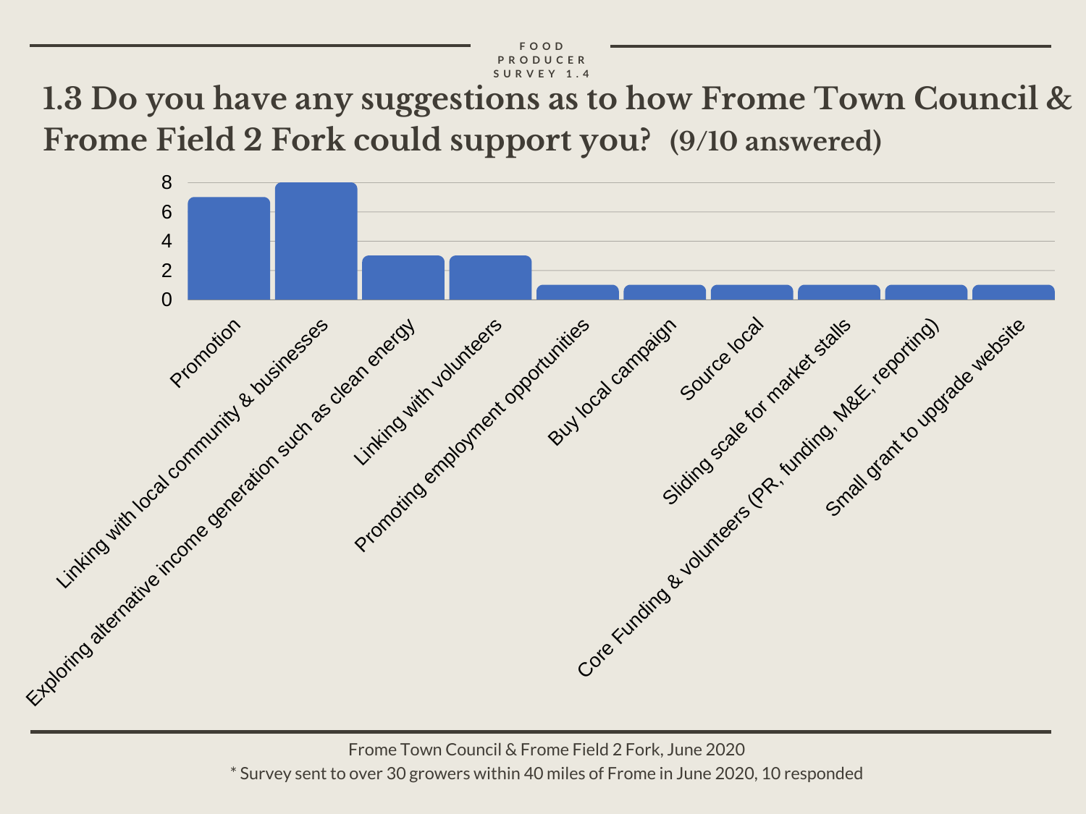**1.3 Do you have any suggestions as to how Frome Town Council & Frome Field 2 Fork could support you? (9/10 answered)**



Frome Town Council & Frome Field 2 Fork, June 2020 \* Survey sent to over 30 growers within 40 miles of Frome in June 2020, 10 responded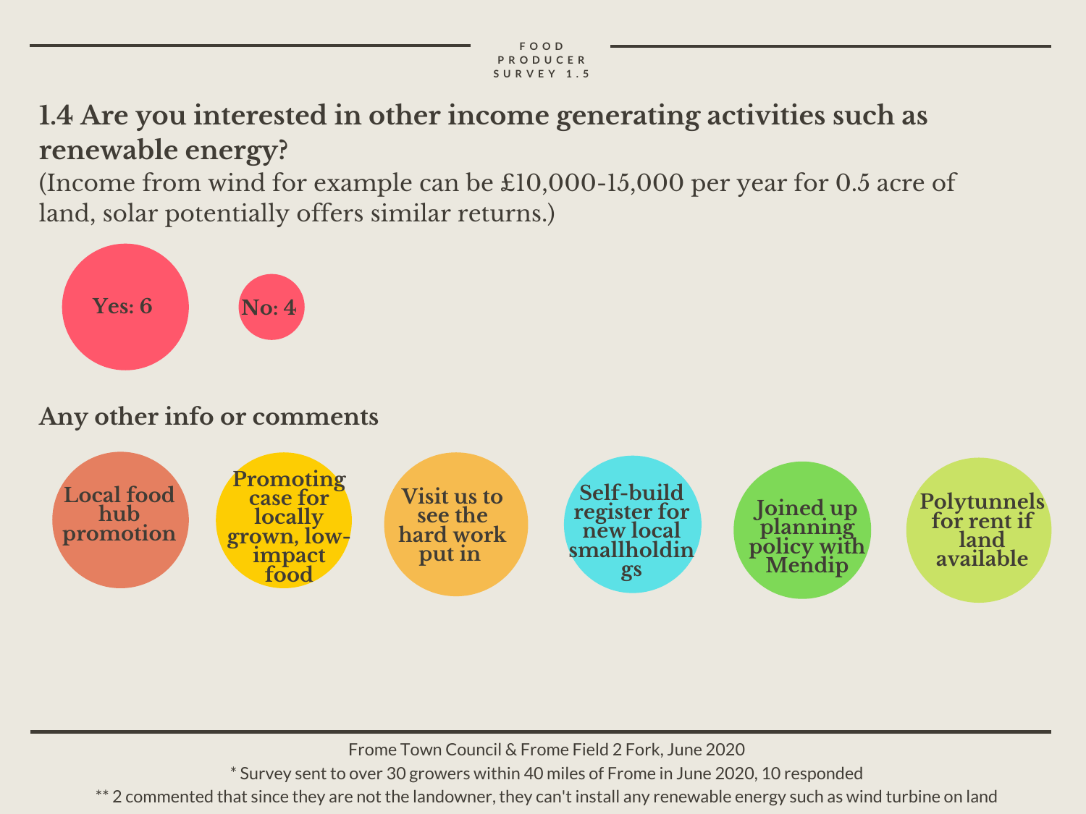## **1.4 Are you interested in other income generating activities such as renewable energy?**

 (Income from wind for example can be £10,000-15,000 per year for 0.5 acre of land, solar potentially offers similar returns.)



### **Any other info or comments**



Frome Town Council & Frome Field 2 Fork, June 2020

\* Survey sent to over 30 growers within 40 miles of Frome in June 2020, 10 responded

\*\* 2 commented that since they are not the landowner, they can't install any renewable energy such as wind turbine on land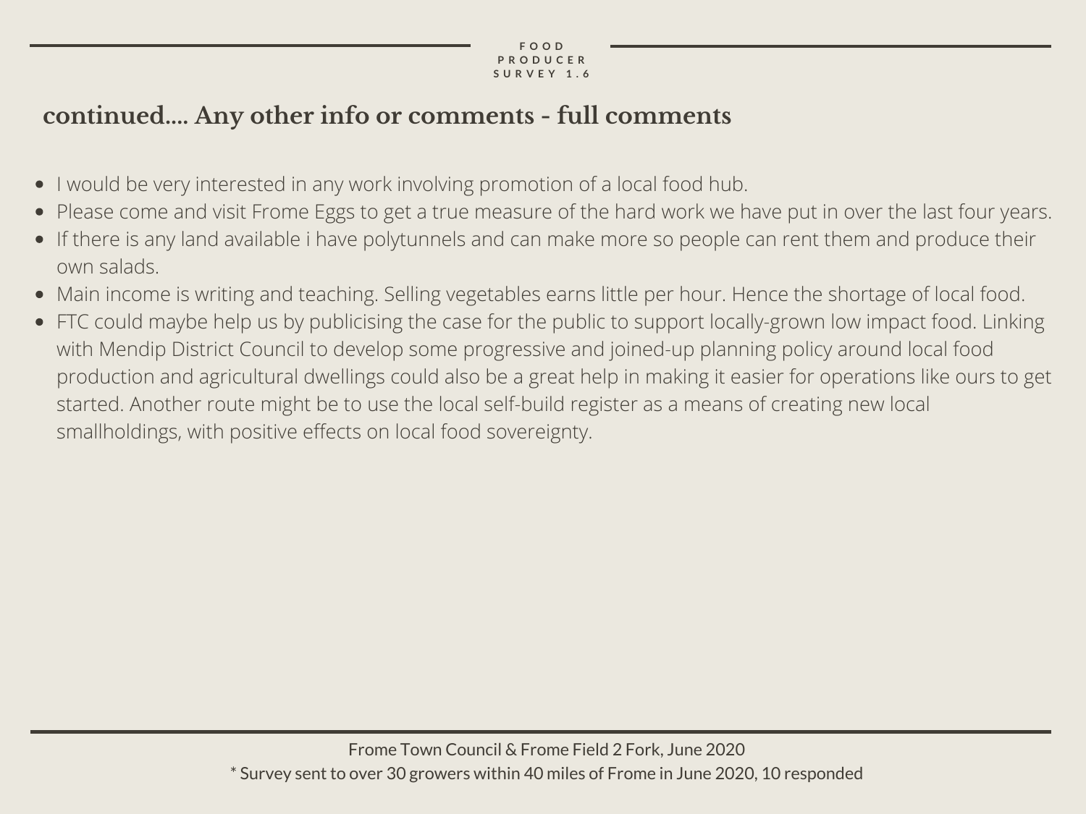### **continued.... Any other info or comments - full comments**

- I would be very interested in any work involving promotion of a local food hub.
- Please come and visit Frome Eggs to get a true measure of the hard work we have put in over the last four years.
- If there is any land available i have polytunnels and can make more so people can rent them and produce their own salads.
- Main income is writing and teaching. Selling vegetables earns little per hour. Hence the shortage of local food.
- FTC could maybe help us by publicising the case for the public to support locally-grown low impact food. Linking with Mendip District Council to develop some progressive and joined-up planning policy around local food production and agricultural dwellings could also be a great help in making it easier for operations like ours to get started. Another route might be to use the local self-build register as a means of creating new local smallholdings, with positive effects on local food sovereignty.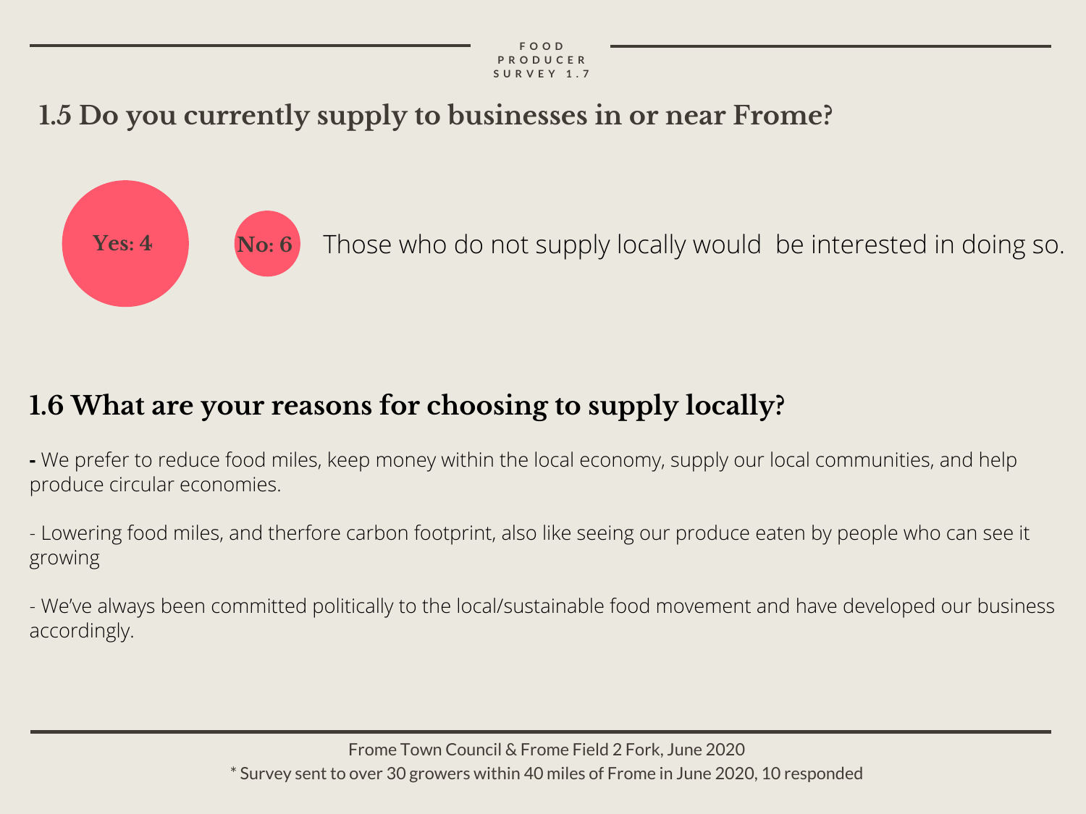## **1.5 Do you currently supply to businesses in or near Frome?**



**No: 6** Those who do not supply locally would be interested in doing so.

## **1.6 What are your reasons for choosing to supply locally?**

 **-** We prefer to reduce food miles, keep money within the local economy, supply our local communities, and help produce circular economies.

 - Lowering food miles, and therfore carbon footprint, also like seeing our produce eaten by people who can see it growing

 - We've always been committed politically to the local/sustainable food movement and have developed our business accordingly.

> Frome Town Council & Frome Field 2 Fork, June 2020 \* Survey sent to over 30 growers within 40 miles of Frome in June 2020, 10 responded